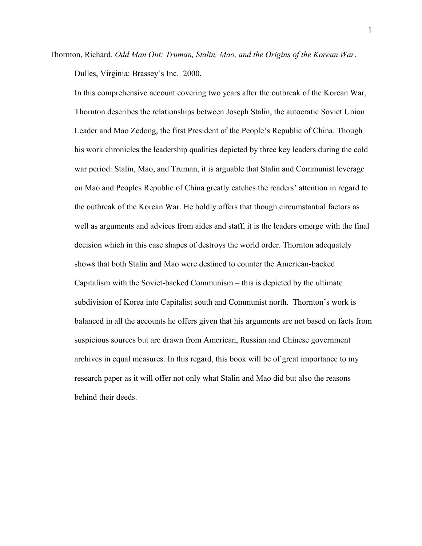Thornton, Richard. *Odd Man Out: Truman, Stalin, Mao, and the Origins of the Korean War*. Dulles, Virginia: Brassey's Inc. 2000.

In this comprehensive account covering two years after the outbreak of the Korean War, Thornton describes the relationships between Joseph Stalin, the autocratic Soviet Union Leader and Mao Zedong, the first President of the People's Republic of China. Though his work chronicles the leadership qualities depicted by three key leaders during the cold war period: Stalin, Mao, and Truman, it is arguable that Stalin and Communist leverage on Mao and Peoples Republic of China greatly catches the readers' attention in regard to the outbreak of the Korean War. He boldly offers that though circumstantial factors as well as arguments and advices from aides and staff, it is the leaders emerge with the final decision which in this case shapes of destroys the world order. Thornton adequately shows that both Stalin and Mao were destined to counter the American-backed Capitalism with the Soviet-backed Communism – this is depicted by the ultimate subdivision of Korea into Capitalist south and Communist north. Thornton's work is balanced in all the accounts he offers given that his arguments are not based on facts from suspicious sources but are drawn from American, Russian and Chinese government archives in equal measures. In this regard, this book will be of great importance to my research paper as it will offer not only what Stalin and Mao did but also the reasons behind their deeds.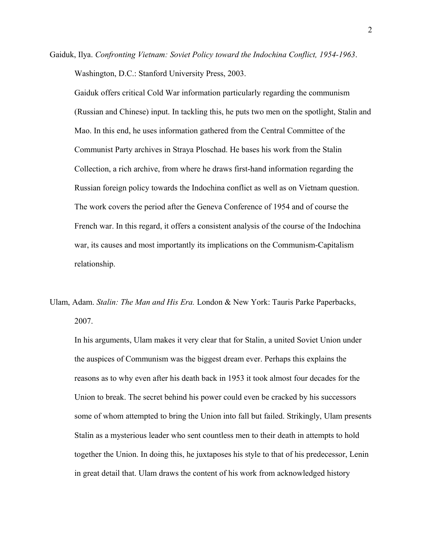Gaiduk, Ilya. *Confronting Vietnam: Soviet Policy toward the Indochina Conflict, 1954-1963*. Washington, D.C.: Stanford University Press, 2003.

Gaiduk offers critical Cold War information particularly regarding the communism (Russian and Chinese) input. In tackling this, he puts two men on the spotlight, Stalin and Mao. In this end, he uses information gathered from the Central Committee of the Communist Party archives in Straya Ploschad. He bases his work from the Stalin Collection, a rich archive, from where he draws first-hand information regarding the Russian foreign policy towards the Indochina conflict as well as on Vietnam question. The work covers the period after the Geneva Conference of 1954 and of course the French war. In this regard, it offers a consistent analysis of the course of the Indochina war, its causes and most importantly its implications on the Communism-Capitalism relationship.

Ulam, Adam. *Stalin: The Man and His Era.* London & New York: Tauris Parke Paperbacks, 2007.

In his arguments, Ulam makes it very clear that for Stalin, a united Soviet Union under the auspices of Communism was the biggest dream ever. Perhaps this explains the reasons as to why even after his death back in 1953 it took almost four decades for the Union to break. The secret behind his power could even be cracked by his successors some of whom attempted to bring the Union into fall but failed. Strikingly, Ulam presents Stalin as a mysterious leader who sent countless men to their death in attempts to hold together the Union. In doing this, he juxtaposes his style to that of his predecessor, Lenin in great detail that. Ulam draws the content of his work from acknowledged history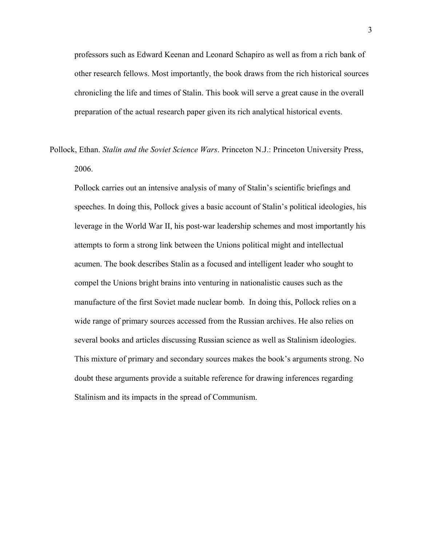professors such as Edward Keenan and Leonard Schapiro as well as from a rich bank of other research fellows. Most importantly, the book draws from the rich historical sources chronicling the life and times of Stalin. This book will serve a great cause in the overall preparation of the actual research paper given its rich analytical historical events.

Pollock, Ethan. *Stalin and the Soviet Science Wars*. Princeton N.J.: Princeton University Press, 2006.

Pollock carries out an intensive analysis of many of Stalin's scientific briefings and speeches. In doing this, Pollock gives a basic account of Stalin's political ideologies, his leverage in the World War II, his post-war leadership schemes and most importantly his attempts to form a strong link between the Unions political might and intellectual acumen. The book describes Stalin as a focused and intelligent leader who sought to compel the Unions bright brains into venturing in nationalistic causes such as the manufacture of the first Soviet made nuclear bomb. In doing this, Pollock relies on a wide range of primary sources accessed from the Russian archives. He also relies on several books and articles discussing Russian science as well as Stalinism ideologies. This mixture of primary and secondary sources makes the book's arguments strong. No doubt these arguments provide a suitable reference for drawing inferences regarding Stalinism and its impacts in the spread of Communism.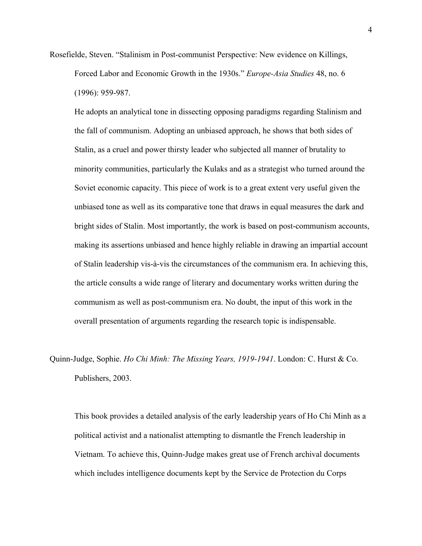Rosefielde, Steven. "Stalinism in Post-communist Perspective: New evidence on Killings, Forced Labor and Economic Growth in the 1930s." *Europe-Asia Studies* 48, no. 6 (1996): 959-987.

He adopts an analytical tone in dissecting opposing paradigms regarding Stalinism and the fall of communism. Adopting an unbiased approach, he shows that both sides of Stalin, as a cruel and power thirsty leader who subjected all manner of brutality to minority communities, particularly the Kulaks and as a strategist who turned around the Soviet economic capacity. This piece of work is to a great extent very useful given the unbiased tone as well as its comparative tone that draws in equal measures the dark and bright sides of Stalin. Most importantly, the work is based on post-communism accounts, making its assertions unbiased and hence highly reliable in drawing an impartial account of Stalin leadership vis-à-vis the circumstances of the communism era. In achieving this, the article consults a wide range of literary and documentary works written during the communism as well as post-communism era. No doubt, the input of this work in the overall presentation of arguments regarding the research topic is indispensable.

Quinn-Judge, Sophie. *Ho Chi Minh: The Missing Years, 1919-1941*. London: C. Hurst & Co. Publishers, 2003.

This book provides a detailed analysis of the early leadership years of Ho Chi Minh as a political activist and a nationalist attempting to dismantle the French leadership in Vietnam. To achieve this, Quinn-Judge makes great use of French archival documents which includes intelligence documents kept by the Service de Protection du Corps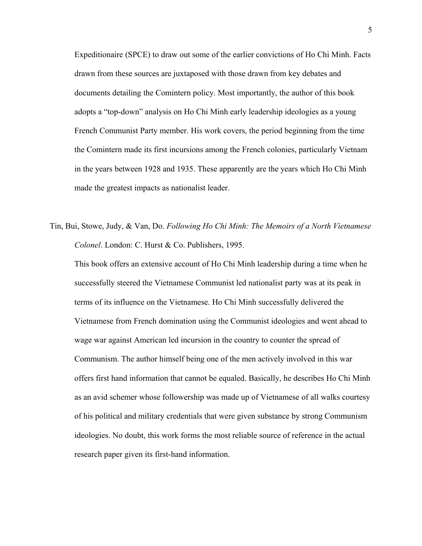Expeditionaire (SPCE) to draw out some of the earlier convictions of Ho Chi Minh. Facts drawn from these sources are juxtaposed with those drawn from key debates and documents detailing the Comintern policy. Most importantly, the author of this book adopts a "top-down" analysis on Ho Chi Minh early leadership ideologies as a young French Communist Party member. His work covers, the period beginning from the time the Comintern made its first incursions among the French colonies, particularly Vietnam in the years between 1928 and 1935. These apparently are the years which Ho Chi Minh made the greatest impacts as nationalist leader.

Tin, Bui, Stowe, Judy, & Van, Do. *Following Ho Chi Minh: The Memoirs of a North Vietnamese Colonel*. London: C. Hurst & Co. Publishers, 1995.

This book offers an extensive account of Ho Chi Minh leadership during a time when he successfully steered the Vietnamese Communist led nationalist party was at its peak in terms of its influence on the Vietnamese. Ho Chi Minh successfully delivered the Vietnamese from French domination using the Communist ideologies and went ahead to wage war against American led incursion in the country to counter the spread of Communism. The author himself being one of the men actively involved in this war offers first hand information that cannot be equaled. Basically, he describes Ho Chi Minh as an avid schemer whose followership was made up of Vietnamese of all walks courtesy of his political and military credentials that were given substance by strong Communism ideologies. No doubt, this work forms the most reliable source of reference in the actual research paper given its first-hand information.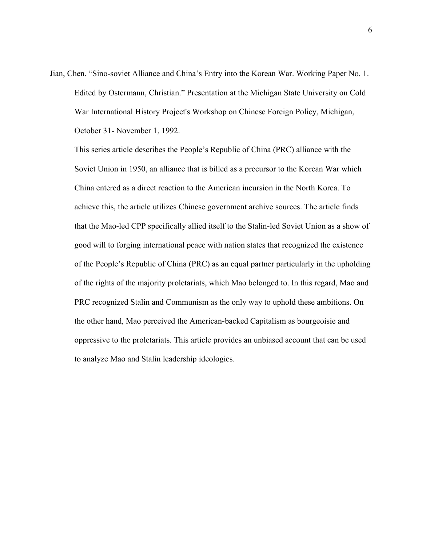Jian, Chen. "Sino-soviet Alliance and China's Entry into the Korean War. Working Paper No. 1. Edited by Ostermann, Christian." Presentation at the Michigan State University on Cold War International History Project's Workshop on Chinese Foreign Policy, Michigan, October 31- November 1, 1992.

This series article describes the People's Republic of China (PRC) alliance with the Soviet Union in 1950, an alliance that is billed as a precursor to the Korean War which China entered as a direct reaction to the American incursion in the North Korea. To achieve this, the article utilizes Chinese government archive sources. The article finds that the Mao-led CPP specifically allied itself to the Stalin-led Soviet Union as a show of good will to forging international peace with nation states that recognized the existence of the People's Republic of China (PRC) as an equal partner particularly in the upholding of the rights of the majority proletariats, which Mao belonged to. In this regard, Mao and PRC recognized Stalin and Communism as the only way to uphold these ambitions. On the other hand, Mao perceived the American-backed Capitalism as bourgeoisie and oppressive to the proletariats. This article provides an unbiased account that can be used to analyze Mao and Stalin leadership ideologies.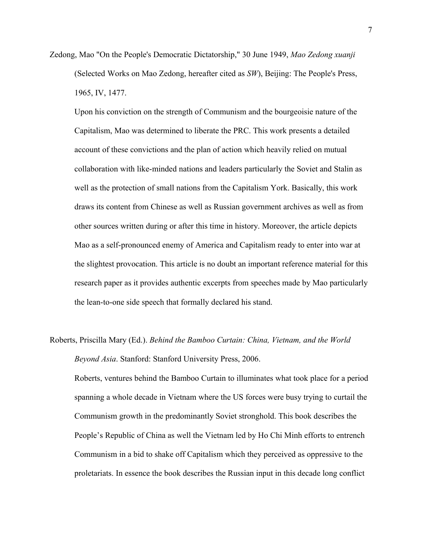Zedong, Mao "On the People's Democratic Dictatorship," 30 June 1949, *Mao Zedong xuanji* (Selected Works on Mao Zedong, hereafter cited as *SW*), Beijing: The People's Press, 1965, IV, 1477.

Upon his conviction on the strength of Communism and the bourgeoisie nature of the Capitalism, Mao was determined to liberate the PRC. This work presents a detailed account of these convictions and the plan of action which heavily relied on mutual collaboration with like-minded nations and leaders particularly the Soviet and Stalin as well as the protection of small nations from the Capitalism York. Basically, this work draws its content from Chinese as well as Russian government archives as well as from other sources written during or after this time in history. Moreover, the article depicts Mao as a self-pronounced enemy of America and Capitalism ready to enter into war at the slightest provocation. This article is no doubt an important reference material for this research paper as it provides authentic excerpts from speeches made by Mao particularly the lean-to-one side speech that formally declared his stand.

## Roberts, Priscilla Mary (Ed.). *Behind the Bamboo Curtain: China, Vietnam, and the World Beyond Asia*. Stanford: Stanford University Press, 2006.

Roberts, ventures behind the Bamboo Curtain to illuminates what took place for a period spanning a whole decade in Vietnam where the US forces were busy trying to curtail the Communism growth in the predominantly Soviet stronghold. This book describes the People's Republic of China as well the Vietnam led by Ho Chi Minh efforts to entrench Communism in a bid to shake off Capitalism which they perceived as oppressive to the proletariats. In essence the book describes the Russian input in this decade long conflict